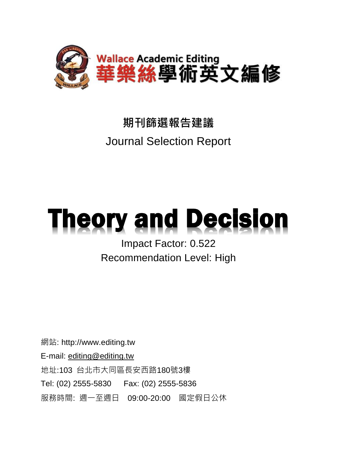

## **期刊篩選報告建議** Journal Selection Report

# **Theory and Decision**

Impact Factor: 0.522 Recommendation Level: High

網站: http://www.editing.tw E-mail: [editing@editing.tw](mailto:editing@editing.tw) 地址:103 台北市大同區長安西路180號3樓 Tel: (02) 2555-5830 Fax: (02) 2555-5836 服務時間: 週一至週日 09:00-20:00 國定假日公休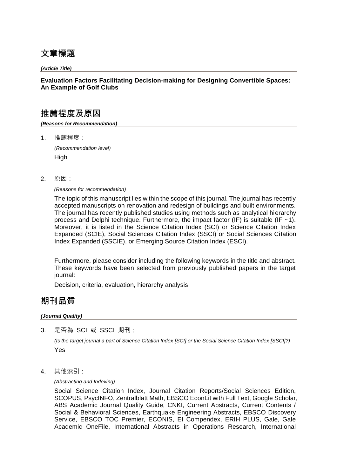## **文章標題**

*(Article Title)*

## **Evaluation Factors Facilitating Decision-making for Designing Convertible Spaces: An Example of Golf Clubs**

## **推薦程度及原因**

*(Reasons for Recommendation)*

1. 推薦程度:

*(Recommendation level)* **High** 

2. 原因:

*(Reasons for recommendation)*

The topic of this manuscript lies within the scope of this journal. The journal has recently accepted manuscripts on renovation and redesign of buildings and built environments. The journal has recently published studies using methods such as analytical hierarchy process and Delphi technique. Furthermore, the impact factor (IF) is suitable (IF  $~1$ ). Moreover, it is listed in the Science Citation Index (SCI) or Science Citation Index Expanded (SCIE), Social Sciences Citation Index (SSCI) or Social Sciences Citation Index Expanded (SSCIE), or Emerging Source Citation Index (ESCI).

Furthermore, please consider including the following keywords in the title and abstract. These keywords have been selected from previously published papers in the target journal:

Decision, criteria, evaluation, hierarchy analysis

## **期刊品質**

#### *(Journal Quality)*

3. 是否為 SCI 或 SSCI 期刊:

*(Is the target journal a part of Science Citation Index [SCI] or the Social Science Citation Index [SSCI]?)* Yes

4. 其他索引:

#### *(Abstracting and Indexing)*

Social Science Citation Index, Journal Citation Reports/Social Sciences Edition, SCOPUS, PsycINFO, Zentralblatt Math, EBSCO EconLit with Full Text, Google Scholar, ABS Academic Journal Quality Guide, CNKI, Current Abstracts, Current Contents / Social & Behavioral Sciences, Earthquake Engineering Abstracts, EBSCO Discovery Service, EBSCO TOC Premier, ECONIS, EI Compendex, ERIH PLUS, Gale, Gale Academic OneFile, International Abstracts in Operations Research, International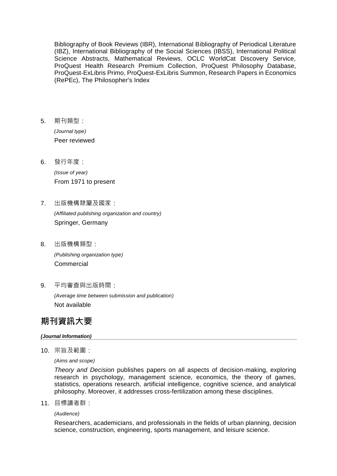Bibliography of Book Reviews (IBR), International Bibliography of Periodical Literature (IBZ), International Bibliography of the Social Sciences (IBSS), International Political Science Abstracts, Mathematical Reviews, OCLC WorldCat Discovery Service, ProQuest Health Research Premium Collection, ProQuest Philosophy Database, ProQuest-ExLibris Primo, ProQuest-ExLibris Summon, Research Papers in Economics (RePEc), The Philosopher's Index

5. 期刊類型:

*(Journal type)* Peer reviewed

6. 發行年度:

*(Issue of year)* From 1971 to present

- 7. 出版機構隸屬及國家: *(Affiliated publishing organization and country)* Springer, Germany
- 8. 出版機構類型: *(Publishing organization type)* Commercial
- 9. 平均審查與出版時間:

*(Average time between submission and publication)* Not available

## **期刊資訊大要**

#### *(Journal Information)*

10. 宗旨及範圍:

*(Aims and scope)*

*Theory and Decision* publishes papers on all aspects of decision-making, exploring research in psychology, management science, economics, the theory of games, statistics, operations research, artificial intelligence, cognitive science, and analytical philosophy. Moreover, it addresses cross-fertilization among these disciplines.

11. 目標讀者群:

*(Audience)* 

Researchers, academicians, and professionals in the fields of urban planning, decision science, construction, engineering, sports management, and leisure science.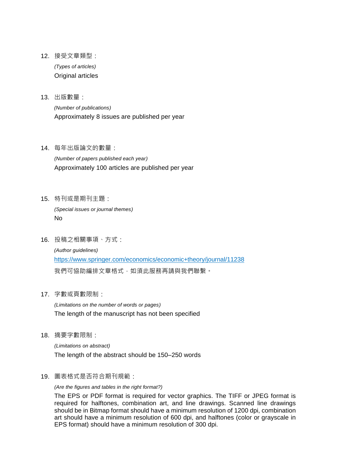- 12. 接受文章類型: *(Types of articles)* Original articles
- 13. 出版數量:

*(Number of publications)* Approximately 8 issues are published per year

14. 每年出版論文的數量:

*(Number of papers published each year)* Approximately 100 articles are published per year

15. 特刊或是期刊主題:

*(Special issues or journal themes)* No

16. 投稿之相關事項、方式:

*(Author guidelines)* https://www.springer.com/economics/economic+theory/journal/11238 我們可協助編排文章格式,如須此服務再請與我們聯繫。

17. 字數或頁數限制:

*(Limitations on the number of words or pages)* The length of the manuscript has not been specified

18. 摘要字數限制:

*(Limitations on abstract)* The length of the abstract should be 150–250 words

19. 圖表格式是否符合期刊規範:

*(Are the figures and tables in the right format?)*

The EPS or PDF format is required for vector graphics. The TIFF or JPEG format is required for halftones, combination art, and line drawings. Scanned line drawings should be in Bitmap format should have a minimum resolution of 1200 dpi, combination art should have a minimum resolution of 600 dpi, and halftones (color or grayscale in EPS format) should have a minimum resolution of 300 dpi.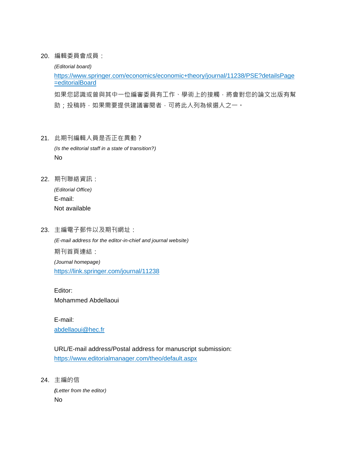20. 編輯委員會成員:

*(Editorial board)*

https://www.springer.com/economics/economic+theory/journal/11238/PSE?detailsPage =editorialBoard

如果您認識或曾與其中一位編審委員有工作、學術上的接觸,將會對您的論文出版有幫 助;投稿時,如果需要提供建議審閱者,可將此人列為候選人之一。

- 21. 此期刊編輯人員是否正在異動? *(Is the editorial staff in a state of transition?)* No
- 22. 期刊聯絡資訊:

*(Editorial Office)* E-mail: Not available

23. 主編電子郵件以及期刊網址: *(E-mail address for the editor-in-chief and journal website)* 期刊首頁連結: *(Journal homepage)* https://link.springer.com/journal/11238

Editor: Mohammed Abdellaoui

E-mail: abdellaoui@hec.fr

URL/E-mail address/Postal address for manuscript submission: https://www.editorialmanager.com/theo/default.aspx

24. 主編的信

*(Letter from the editor)* No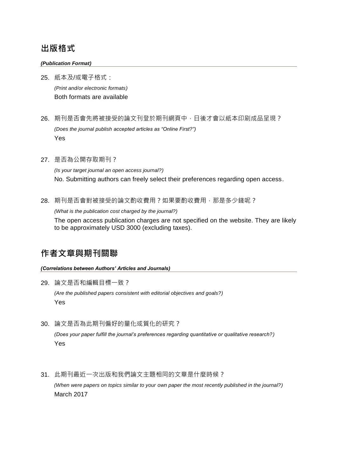## **出版格式**

#### *(Publication Format)*

25. 紙本及/或電子格式: *(Print and/or electronic formats)* Both formats are available

- 26. 期刊是否會先將被接受的論文刊登於期刊網頁中,日後才會以紙本印刷成品呈現? *(Does the journal publish accepted articles as "Online First?")* Yes
- 27. 是否為公開存取期刊?

*(Is your target journal an open access journal?)* No. Submitting authors can freely select their preferences regarding open access.

28. 期刊是否會對被接受的論文酌收費用?如果要酌收費用,那是多少錢呢?

*(What is the publication cost charged by the journal?)*

The open access publication charges are not specified on the website. They are likely to be approximately USD 3000 (excluding taxes).

## **作者文章與期刊關聯**

*(Correlations between Authors' Articles and Journals)*

29. 論文是否和編輯目標一致?

*(Are the published papers consistent with editorial objectives and goals?)* Yes

30. 論文是否為此期刊偏好的量化或質化的研究?

*(Does your paper fulfill the journal's preferences regarding quantitative or qualitative research?)* Yes

31. 此期刊最近一次出版和我們論文主題相同的文章是什麼時候? *(When were papers on topics similar to your own paper the most recently published in the journal?)* March 2017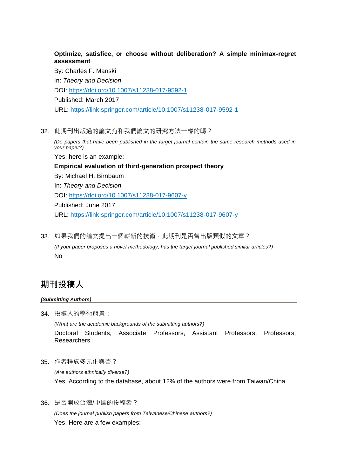### **Optimize, satisfice, or choose without deliberation? A simple minimax-regret assessment**

By: Charles F. Manski In: *Theory and Decision* DOI: https://doi.org/10.1007/s11238-017-9592-1 Published: March 2017 URL: https://link.springer.com/article/10.1007/s11238-017-9592-1

32. 此期刊出版過的論文有和我們論文的研究方法一樣的嗎?

*(Do papers that have been published in the target journal contain the same research methods used in your paper?)* Yes, here is an example: **Empirical evaluation of third-generation prospect theory** By: Michael H. Birnbaum In: *Theory and Decision* DOI: https://doi.org/10.1007/s11238-017-9607-y Published: June 2017 URL: https://link.springer.com/article/10.1007/s11238-017-9607-y

33. 如果我們的論文提出一個嶄新的技術,此期刊是否曾出版類似的文章? *(If your paper proposes a novel methodology, has the target journal published similar articles?)* No

## **期刊投稿人**

#### *(Submitting Authors)*

34. 投稿人的學術背景:

*(What are the academic backgrounds of the submitting authors?)* Doctoral Students, Associate Professors, Assistant Professors, Professors, **Researchers** 

35. 作者種族多元化與否?

*(Are authors ethnically diverse?)* Yes. According to the database, about 12% of the authors were from Taiwan/China.

36. 是否開放台灣/中國的投稿者?

*(Does the journal publish papers from Taiwanese/Chinese authors?)* Yes. Here are a few examples: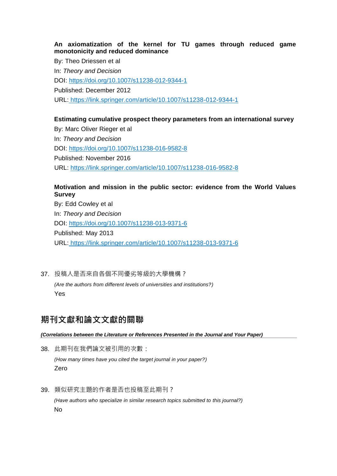#### **An axiomatization of the kernel for TU games through reduced game monotonicity and reduced dominance**

By: Theo Driessen et al In: *Theory and Decision* DOI: https://doi.org/10.1007/s11238-012-9344-1 Published: December 2012 URL: https://link.springer.com/article/10.1007/s11238-012-9344-1

## **Estimating cumulative prospect theory parameters from an international survey**

By: Marc Oliver Rieger et al In: *Theory and Decision* DOI: https://doi.org/10.1007/s11238-016-9582-8 Published: November 2016 URL: https://link.springer.com/article/10.1007/s11238-016-9582-8

## **Motivation and mission in the public sector: evidence from the World Values Survey**

By: Edd Cowley et al In: *Theory and Decision* DOI: https://doi.org/10.1007/s11238-013-9371-6 Published: May 2013 URL: https://link.springer.com/article/10.1007/s11238-013-9371-6

## 37. 投稿人是否來自各個不同優劣等級的大學機構?

*(Are the authors from different levels of universities and institutions?)* Yes

## **期刊文獻和論文文獻的關聯**

#### *(Correlations between the Literature or References Presented in the Journal and Your Paper)*

38. 此期刊在我們論文被引用的次數: *(How many times have you cited the target journal in your paper?)*

Zero

39. 類似研究主題的作者是否也投稿至此期刊? *(Have authors who specialize in similar research topics submitted to this journal?)* No